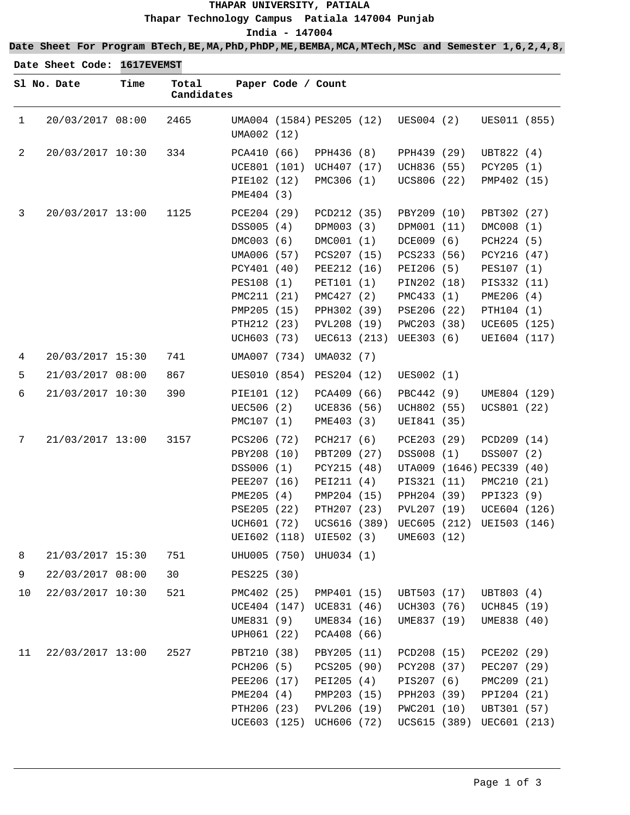## **THAPAR UNIVERSITY, PATIALA Thapar Technology Campus Patiala 147004 Punjab India - 147004**

**Date Sheet For Program BTech,BE,MA,PhD,PhDP,ME,BEMBA,MCA,MTech,MSc and Semester 1,6,2,4,8,**

**Date Sheet Code: 1617EVEMST**

|              | Sl No. Date      | Time | Total<br>Candidates |                                                                                                                                                 | Paper Code / Count |                                                                                                                                                 |                                                                                                                                                |                                                                                                                                                 |  |
|--------------|------------------|------|---------------------|-------------------------------------------------------------------------------------------------------------------------------------------------|--------------------|-------------------------------------------------------------------------------------------------------------------------------------------------|------------------------------------------------------------------------------------------------------------------------------------------------|-------------------------------------------------------------------------------------------------------------------------------------------------|--|
| $\mathbf{1}$ | 20/03/2017 08:00 |      | 2465                | UMA002 (12)                                                                                                                                     |                    | UMA004 (1584) PES205 (12)                                                                                                                       | UES004 (2)                                                                                                                                     | UES011 (855)                                                                                                                                    |  |
| 2            | 20/03/2017 10:30 |      | 334                 | PCA410 (66)<br>PIE102 (12)<br>PME404 (3)                                                                                                        |                    | PPH436 (8)<br>UCE801 (101) UCH407 (17)<br>PMC306 (1)                                                                                            | PPH439 (29)<br>UCH836 (55)<br>UCS806 (22)                                                                                                      | UBT822 (4)<br>PCY205 (1)<br>PMP402 (15)                                                                                                         |  |
| 3            | 20/03/2017 13:00 |      | 1125                | PCE204 (29)<br>DSS005 (4)<br>DMC003 (6)<br>UMA006 (57)<br>PCY401 (40)<br>PES108 (1)<br>PMC211 (21)<br>PMP205 (15)<br>PTH212 (23)<br>UCH603 (73) |                    | PCD212 (35)<br>DPM003 (3)<br>DMC001 (1)<br>PCS207 (15)<br>PEE212 (16)<br>PET101 (1)<br>PMC427 (2)<br>PPH302 (39)<br>PVL208 (19)<br>UEC613 (213) | PBY209 (10)<br>DPM001 (11)<br>DCE009 (6)<br>PCS233 (56)<br>PEI206 (5)<br>PIN202 (18)<br>PMC433 (1)<br>PSE206 (22)<br>PWC203 (38)<br>UEE303 (6) | PBT302 (27)<br>DMC008 (1)<br>PCH224 (5)<br>PCY216 (47)<br>PES107 (1)<br>PIS332 (11)<br>PME206 (4)<br>PTH104 (1)<br>UCE605 (125)<br>UEI604 (117) |  |
| 4            | 20/03/2017 15:30 |      | 741                 | UMA007 (734)                                                                                                                                    |                    | UMA032 (7)                                                                                                                                      |                                                                                                                                                |                                                                                                                                                 |  |
| 5            | 21/03/2017 08:00 |      | 867                 | UES010 (854)                                                                                                                                    |                    | PES204 (12)                                                                                                                                     | UES002 (1)                                                                                                                                     |                                                                                                                                                 |  |
| 6            | 21/03/2017 10:30 |      | 390                 | PIE101 (12)<br>UEC506 (2)<br>PMC107 (1)                                                                                                         |                    | PCA409 (66)<br>UCE836 (56)<br>PME403 (3)                                                                                                        | PBC442 (9)<br>UCH802 (55)<br>UEI841 (35)                                                                                                       | UME804 (129)<br>UCS801 (22)                                                                                                                     |  |
| 7            | 21/03/2017 13:00 |      | 3157                | PCS206 (72)<br>PBY208 (10)<br>DSS006 (1)<br>PEE207 (16)<br>PME205 (4)<br>PSE205 (22)<br>UCH601 (72)                                             |                    | PCH217 (6)<br>PBT209 (27)<br>PCY215 (48)<br>PEI211 (4)<br>PMP204 (15)<br>PTH207 (23)<br>UCS616 (389)<br>UEI602 (118) UIE502 (3)                 | PCE203 (29)<br>DSS008 (1)<br>PIS321 (11)<br>PPH204 (39)<br>PVL207 (19)<br>UEC605 (212)<br>UME603 (12)                                          | PCD209 (14)<br>DSS007 (2)<br>UTA009 (1646) PEC339 (40)<br>PMC210 (21)<br>PPI323 (9)<br>UCE604 (126)<br>UEI503 (146)                             |  |
| 8            | 21/03/2017 15:30 |      | 751                 |                                                                                                                                                 |                    | UHU005 (750) UHU034 (1)                                                                                                                         |                                                                                                                                                |                                                                                                                                                 |  |
| 9            | 22/03/2017 08:00 |      | 30                  | PES225 (30)                                                                                                                                     |                    |                                                                                                                                                 |                                                                                                                                                |                                                                                                                                                 |  |
| 10           | 22/03/2017 10:30 |      | 521                 | PMC402 (25)<br>UCE404 (147)<br>UME831 (9)<br>UPH061 (22)                                                                                        |                    | PMP401 (15)<br>UCE831 (46)<br>UME834 (16)<br>PCA408 (66)                                                                                        | UBT503 (17)<br>UCH303 (76)<br>UME837 (19)                                                                                                      | UBT803 (4)<br>UCH845 (19)<br>UME838 (40)                                                                                                        |  |
| 11           | 22/03/2017 13:00 |      | 2527                | PBT210 (38)<br>PCH206 (5)<br>PEE206 (17)<br>PME204 (4)<br>PTH206 (23)                                                                           |                    | PBY205 (11)<br>PCS205 (90)<br>PEI205 (4)<br>PMP203 (15)<br>PVL206 (19)<br>UCE603 (125) UCH606 (72)                                              | PCD208 (15)<br>PCY208 (37)<br>PIS207 (6)<br>PPH203 (39)<br>PWC201 (10)                                                                         | PCE202 (29)<br>PEC207 (29)<br>PMC209 (21)<br>PPI204 (21)<br>UBT301 (57)<br>UCS615 (389) UEC601 (213)                                            |  |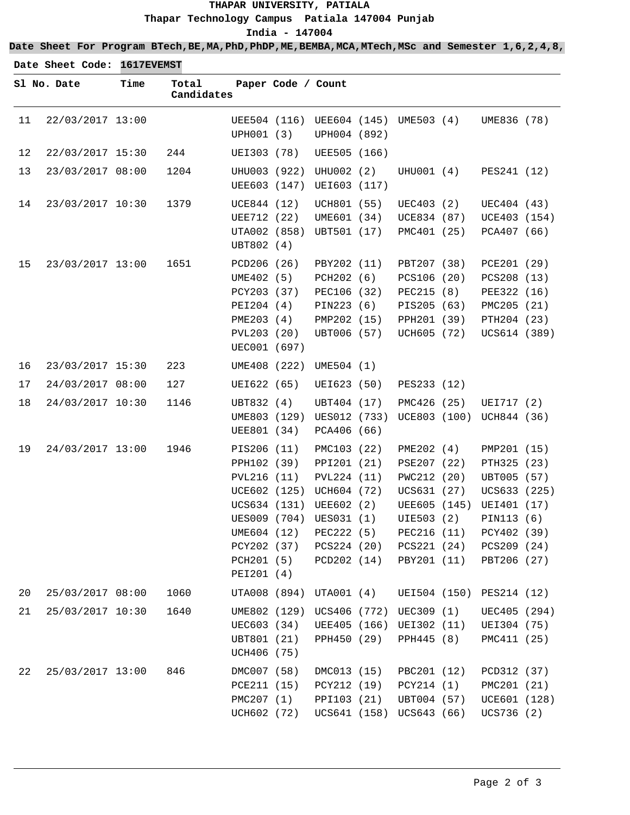## **THAPAR UNIVERSITY, PATIALA Thapar Technology Campus Patiala 147004 Punjab India - 147004**

**Date Sheet For Program BTech,BE,MA,PhD,PhDP,ME,BEMBA,MCA,MTech,MSc and Semester 1,6,2,4,8,**

|    | Date Sheet Code: 1617EVEMST |      |                     |                                                                                                     |                    |                                                                                                                                                                         |                                                                                                                                    |                                                                                                                                     |  |
|----|-----------------------------|------|---------------------|-----------------------------------------------------------------------------------------------------|--------------------|-------------------------------------------------------------------------------------------------------------------------------------------------------------------------|------------------------------------------------------------------------------------------------------------------------------------|-------------------------------------------------------------------------------------------------------------------------------------|--|
|    | Sl No. Date                 | Time | Total<br>Candidates |                                                                                                     | Paper Code / Count |                                                                                                                                                                         |                                                                                                                                    |                                                                                                                                     |  |
| 11 | 22/03/2017 13:00            |      |                     | UPH001 (3)                                                                                          |                    | UPH004 (892)                                                                                                                                                            | UEE504 (116) UEE604 (145) UME503 (4)                                                                                               | UME836 (78)                                                                                                                         |  |
| 12 | 22/03/2017 15:30            |      | 244                 | UEI303 (78)                                                                                         |                    | UEE505 (166)                                                                                                                                                            |                                                                                                                                    |                                                                                                                                     |  |
| 13 | 23/03/2017 08:00            |      | 1204                | UEE603 (147)                                                                                        | UHU003 (922)       | UHU002 (2)<br>UEI603 (117)                                                                                                                                              | UHU001 (4)                                                                                                                         | PES241 (12)                                                                                                                         |  |
| 14 | 23/03/2017 10:30            |      | 1379                | UCE844 (12)<br>UEE712 (22)<br>UBT802 (4)                                                            | UTA002 (858)       | UCH801 (55)<br>UME601 (34)<br>UBT501 (17)                                                                                                                               | UEC403 (2)<br>UCE834 (87)<br>PMC401 (25)                                                                                           | UEC404 (43)<br>UCE403 (154)<br>PCA407 (66)                                                                                          |  |
| 15 | 23/03/2017 13:00            |      | 1651                | PCD206 (26)<br>UME402 (5)<br>PCY203 (37)<br>PEI204 (4)<br>PME203 (4)<br>PVL203 (20)<br>UEC001 (697) |                    | PBY202 (11)<br>PCH202 (6)<br>PEC106 (32)<br>PIN223 (6)<br>PMP202 (15)<br>UBT006 (57)                                                                                    | PBT207 (38)<br>PCS106 (20)<br>PEC215 (8)<br>PIS205 (63)<br>PPH201 (39)<br>UCH605 (72)                                              | PCE201 (29)<br>PCS208 (13)<br>PEE322 (16)<br>PMC205 (21)<br>PTH204 (23)<br>UCS614 (389)                                             |  |
| 16 | 23/03/2017 15:30            |      | 223                 |                                                                                                     | UME408 (222)       | UME504 (1)                                                                                                                                                              |                                                                                                                                    |                                                                                                                                     |  |
| 17 | 24/03/2017 08:00            |      | 127                 | UEI622 (65)                                                                                         |                    | UEI623 (50)                                                                                                                                                             | PES233 (12)                                                                                                                        |                                                                                                                                     |  |
| 18 | 24/03/2017 10:30            |      | 1146                | UBT832 (4)<br>UME803 (129)<br>UEE801 (34)                                                           |                    | UBT404 (17)<br>UES012 (733)<br>PCA406 (66)                                                                                                                              | PMC426 (25)<br>UCE803 (100)                                                                                                        | UEI717 (2)<br>UCH844 (36)                                                                                                           |  |
| 19 | 24/03/2017 13:00            |      | 1946                | PIS206 (11)<br>PPH102 (39)<br>PVL216 (11)<br>UME604 (12)<br>PCH201 (5)<br>PEI201 (4)                | PCY202 (37)        | PMC103 (22)<br>PPI201 (21)<br>PVL224 (11)<br>UCE602 (125) UCH604 (72)<br>UCS634 (131) UEE602 (2)<br>UES009 (704) UES031 (1)<br>PEC222 (5)<br>PCS224 (20)<br>PCD202 (14) | PME202 (4)<br>PSE207 (22)<br>PWC212 (20)<br>UCS631 (27)<br>UEE605 (145)<br>UIE503 (2)<br>PEC216 (11)<br>PCS221 (24)<br>PBY201 (11) | PMP201 (15)<br>PTH325 (23)<br>UBT005 (57)<br>UCS633 (225)<br>UEI401 (17)<br>PIN113 (6)<br>PCY402 (39)<br>PCS209 (24)<br>PBT206 (27) |  |
| 20 | 25/03/2017 08:00            |      | 1060                | UTA008 (894)                                                                                        |                    | UTA001 (4)                                                                                                                                                              | UEI504 (150)                                                                                                                       | PES214 (12)                                                                                                                         |  |
| 21 | 25/03/2017 10:30            |      | 1640                | UME802 (129)<br>UEC603 (34)<br>UBT801 (21)<br>UCH406 (75)                                           |                    | UCS406 (772)<br>UEE405 (166)<br>PPH450 (29)                                                                                                                             | UEC309 (1)<br>UEI302 (11)<br>PPH445 (8)                                                                                            | UEC405 (294)<br>UEI304 (75)<br>PMC411 (25)                                                                                          |  |
| 22 | 25/03/2017 13:00            |      | 846                 | DMC007 (58)<br>PCE211 (15)<br>PMC207 (1)<br>UCH602 (72)                                             |                    | DMC013 (15)<br>PCY212 (19)<br>PPI103 (21)<br>UCS641 (158)                                                                                                               | PBC201 (12)<br>PCY214 (1)<br>UBT004 (57)<br>UCS643 (66)                                                                            | PCD312 (37)<br>PMC201 (21)<br>UCE601 (128)<br>UCS736 (2)                                                                            |  |